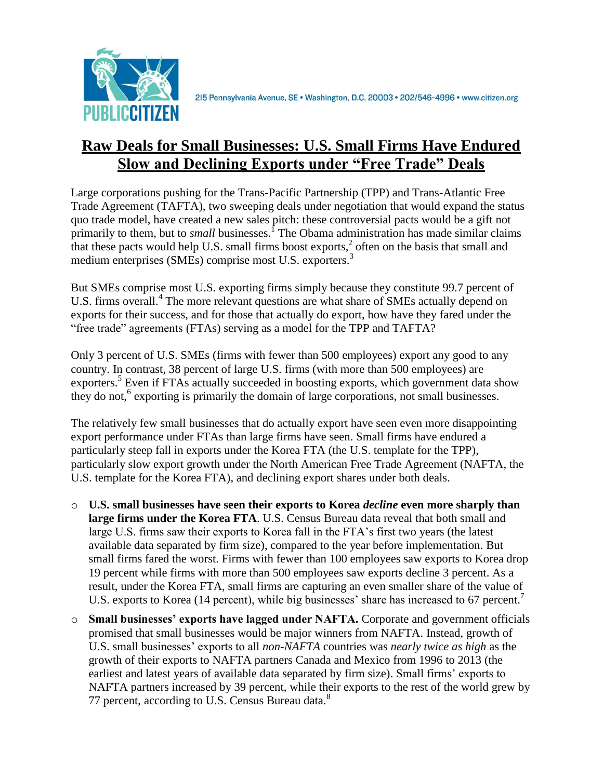

## **Raw Deals for Small Businesses: U.S. Small Firms Have Endured Slow and Declining Exports under "Free Trade" Deals**

Large corporations pushing for the Trans-Pacific Partnership (TPP) and Trans-Atlantic Free Trade Agreement (TAFTA), two sweeping deals under negotiation that would expand the status quo trade model, have created a new sales pitch: these controversial pacts would be a gift not primarily to them, but to *small* businesses.<sup>1</sup> The Obama administration has made similar claims that these pacts would help U.S. small firms boost exports,<sup>2</sup> often on the basis that small and medium enterprises (SMEs) comprise most U.S. exporters.<sup>3</sup>

But SMEs comprise most U.S. exporting firms simply because they constitute 99.7 percent of U.S. firms overall.<sup>4</sup> The more relevant questions are what share of SMEs actually depend on exports for their success, and for those that actually do export, how have they fared under the "free trade" agreements (FTAs) serving as a model for the TPP and TAFTA?

Only 3 percent of U.S. SMEs (firms with fewer than 500 employees) export any good to any country. In contrast, 38 percent of large U.S. firms (with more than 500 employees) are exporters.<sup>5</sup> Even if FTAs actually succeeded in boosting exports, which government data show they do not,<sup>6</sup> exporting is primarily the domain of large corporations, not small businesses.

The relatively few small businesses that do actually export have seen even more disappointing export performance under FTAs than large firms have seen. Small firms have endured a particularly steep fall in exports under the Korea FTA (the U.S. template for the TPP), particularly slow export growth under the North American Free Trade Agreement (NAFTA, the U.S. template for the Korea FTA), and declining export shares under both deals.

- o **U.S. small businesses have seen their exports to Korea** *decline* **even more sharply than large firms under the Korea FTA**. U.S. Census Bureau data reveal that both small and large U.S. firms saw their exports to Korea fall in the FTA's first two years (the latest available data separated by firm size), compared to the year before implementation. But small firms fared the worst. Firms with fewer than 100 employees saw exports to Korea drop 19 percent while firms with more than 500 employees saw exports decline 3 percent. As a result, under the Korea FTA, small firms are capturing an even smaller share of the value of U.S. exports to Korea (14 percent), while big businesses' share has increased to 67 percent.
- o **Small businesses' exports have lagged under NAFTA.** Corporate and government officials promised that small businesses would be major winners from NAFTA. Instead, growth of U.S. small businesses' exports to all *non-NAFTA* countries was *nearly twice as high* as the growth of their exports to NAFTA partners Canada and Mexico from 1996 to 2013 (the earliest and latest years of available data separated by firm size). Small firms' exports to NAFTA partners increased by 39 percent, while their exports to the rest of the world grew by 77 percent, according to U.S. Census Bureau data.<sup>8</sup>